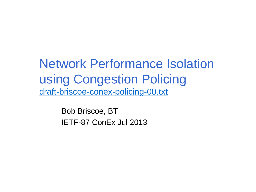Network Performance Isolation using Congestion Policing [draft-briscoe-conex-policing-00.txt](http://www.ietf.org/id/draft-briscoe-conex-data-centre-00.txt)

> Bob Briscoe, BT IETF-87 ConEx Jul 2013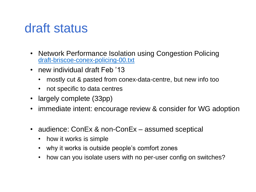## draft status

- Network Performance Isolation using Congestion Policing [draft-briscoe-conex-policing-00.txt](http://www.ietf.org/id/draft-briscoe-conex-policing-00.txt)
- new individual draft Feb '13
	- mostly cut & pasted from conex-data-centre, but new info too
	- not specific to data centres
- largely complete (33pp)
- immediate intent: encourage review & consider for WG adoption
- audience: ConEx & non-ConEx assumed sceptical
	- how it works is simple
	- why it works is outside people's comfort zones
	- how can you isolate users with no per-user config on switches?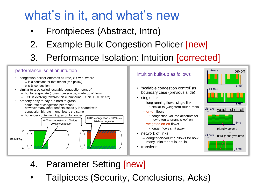## what's in it, and what's new

- Frontpieces (Abstract, Intro)
- 2. Example Bulk Congestion Policer [new]
- 3. Performance Isolation: Intuition [corrected]

#### performance isolation intuition

- congestion policer enforces bit-rate,  $x = w/p$ , where
	- w is a constant for that tenant (the policy)
	- p is % congestion
- similar to a so-called 'scalable congestion control'
	- but for aggregate (hose) from source, made up of flows
	- TCP is evolving towards this (Compound, Cubic, DCTCP etc)
- property easy-to-say but hard to grasp:
	- same rate of congestion per tenant, however many other tenants capacity is shared with
	- congestion-bit-rate in one flow is the same



### intuition built-up as follows  $\frac{\text{but-rate}}{\text{but real}}$

- 'scalable congestion control' as boundary case (previous slide)
- single link
	- long running flows, single link
		- similar to (weighted) round-robin
	- on-off flows
		- congestion-volume accounts for how often a tenant is *not '*on'
	- weighted on-off flows
		- longer flows shift away
- network of links
	- congestion-volume allows for how many links tenant is 'on' in
- transients



- 4. Parameter Setting [new]
- Tailpieces (Security, Conclusions, Acks)